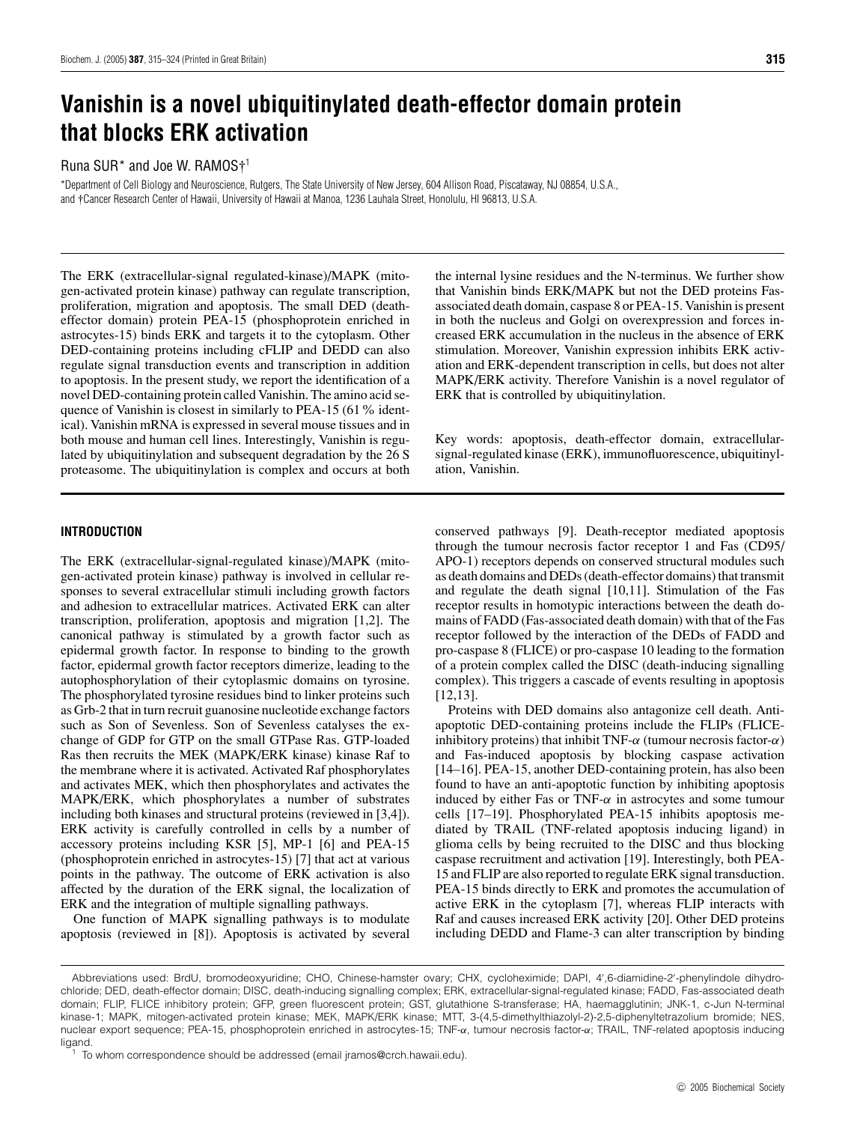# **Vanishin is a novel ubiquitinylated death-effector domain protein that blocks ERK activation**

## Runa SUR<sup>\*</sup> and Joe W. RAMOS<sup>+1</sup>

\*Department of Cell Biology and Neuroscience, Rutgers, The State University of New Jersey, 604 Allison Road, Piscataway, NJ 08854, U.S.A., and †Cancer Research Center of Hawaii, University of Hawaii at Manoa, 1236 Lauhala Street, Honolulu, HI 96813, U.S.A.

The ERK (extracellular-signal regulated-kinase)/MAPK (mitogen-activated protein kinase) pathway can regulate transcription, proliferation, migration and apoptosis. The small DED (deatheffector domain) protein PEA-15 (phosphoprotein enriched in astrocytes-15) binds ERK and targets it to the cytoplasm. Other DED-containing proteins including cFLIP and DEDD can also regulate signal transduction events and transcription in addition to apoptosis. In the present study, we report the identification of a novel DED-containing protein called Vanishin. The amino acid sequence of Vanishin is closest in similarly to PEA-15 (61% identical). Vanishin mRNA is expressed in several mouse tissues and in both mouse and human cell lines. Interestingly, Vanishin is regulated by ubiquitinylation and subsequent degradation by the 26 S proteasome. The ubiquitinylation is complex and occurs at both

#### **INTRODUCTION**

The ERK (extracellular-signal-regulated kinase)/MAPK (mitogen-activated protein kinase) pathway is involved in cellular responses to several extracellular stimuli including growth factors and adhesion to extracellular matrices. Activated ERK can alter transcription, proliferation, apoptosis and migration [1,2]. The canonical pathway is stimulated by a growth factor such as epidermal growth factor. In response to binding to the growth factor, epidermal growth factor receptors dimerize, leading to the autophosphorylation of their cytoplasmic domains on tyrosine. The phosphorylated tyrosine residues bind to linker proteins such as Grb-2 that in turn recruit guanosine nucleotide exchange factors such as Son of Sevenless. Son of Sevenless catalyses the exchange of GDP for GTP on the small GTPase Ras. GTP-loaded Ras then recruits the MEK (MAPK/ERK kinase) kinase Raf to the membrane where it is activated. Activated Raf phosphorylates and activates MEK, which then phosphorylates and activates the MAPK/ERK, which phosphorylates a number of substrates including both kinases and structural proteins (reviewed in [3,4]). ERK activity is carefully controlled in cells by a number of accessory proteins including KSR [5], MP-1 [6] and PEA-15 (phosphoprotein enriched in astrocytes-15) [7] that act at various points in the pathway. The outcome of ERK activation is also affected by the duration of the ERK signal, the localization of ERK and the integration of multiple signalling pathways.

One function of MAPK signalling pathways is to modulate apoptosis (reviewed in [8]). Apoptosis is activated by several the internal lysine residues and the N-terminus. We further show that Vanishin binds ERK/MAPK but not the DED proteins Fasassociated death domain, caspase 8 or PEA-15. Vanishin is present in both the nucleus and Golgi on overexpression and forces increased ERK accumulation in the nucleus in the absence of ERK stimulation. Moreover, Vanishin expression inhibits ERK activation and ERK-dependent transcription in cells, but does not alter MAPK/ERK activity. Therefore Vanishin is a novel regulator of ERK that is controlled by ubiquitinylation.

Key words: apoptosis, death-effector domain, extracellularsignal-regulated kinase (ERK), immunofluorescence, ubiquitinylation, Vanishin.

conserved pathways [9]. Death-receptor mediated apoptosis through the tumour necrosis factor receptor 1 and Fas (CD95/ APO-1) receptors depends on conserved structural modules such as death domains and DEDs (death-effector domains) that transmit and regulate the death signal [10,11]. Stimulation of the Fas receptor results in homotypic interactions between the death domains of FADD (Fas-associated death domain) with that of the Fas receptor followed by the interaction of the DEDs of FADD and pro-caspase 8 (FLICE) or pro-caspase 10 leading to the formation of a protein complex called the DISC (death-inducing signalling complex). This triggers a cascade of events resulting in apoptosis [12,13].

Proteins with DED domains also antagonize cell death. Antiapoptotic DED-containing proteins include the FLIPs (FLICEinhibitory proteins) that inhibit TNF- $\alpha$  (tumour necrosis factor- $\alpha$ ) and Fas-induced apoptosis by blocking caspase activation [14–16]. PEA-15, another DED-containing protein, has also been found to have an anti-apoptotic function by inhibiting apoptosis induced by either Fas or TNF- $\alpha$  in astrocytes and some tumour cells [17–19]. Phosphorylated PEA-15 inhibits apoptosis mediated by TRAIL (TNF-related apoptosis inducing ligand) in glioma cells by being recruited to the DISC and thus blocking caspase recruitment and activation [19]. Interestingly, both PEA-15 and FLIP are also reported to regulate ERK signal transduction. PEA-15 binds directly to ERK and promotes the accumulation of active ERK in the cytoplasm [7], whereas FLIP interacts with Raf and causes increased ERK activity [20]. Other DED proteins including DEDD and Flame-3 can alter transcription by binding

Abbreviations used: BrdU, bromodeoxyuridine; CHO, Chinese-hamster ovary; CHX, cycloheximide; DAPI, 4′ ,6-diamidine-2′ -phenylindole dihydrochloride; DED, death-effector domain; DISC, death-inducing signalling complex; ERK, extracellular-signal-regulated kinase; FADD, Fas-associated death domain; FLIP, FLICE inhibitory protein; GFP, green fluorescent protein; GST, glutathione S-transferase; HA, haemagglutinin; JNK-1, c-Jun N-terminal kinase-1; MAPK, mitogen-activated protein kinase; MEK, MAPK/ERK kinase; MTT, 3-(4,5-dimethylthiazolyl-2)-2,5-diphenyltetrazolium bromide; NES, nuclear export sequence; PEA-15, phosphoprotein enriched in astrocytes-15; TNF-α, tumour necrosis factor-α; TRAIL, TNF-related apoptosis inducing ligand.

To whom correspondence should be addressed (email jramos@crch.hawaii.edu).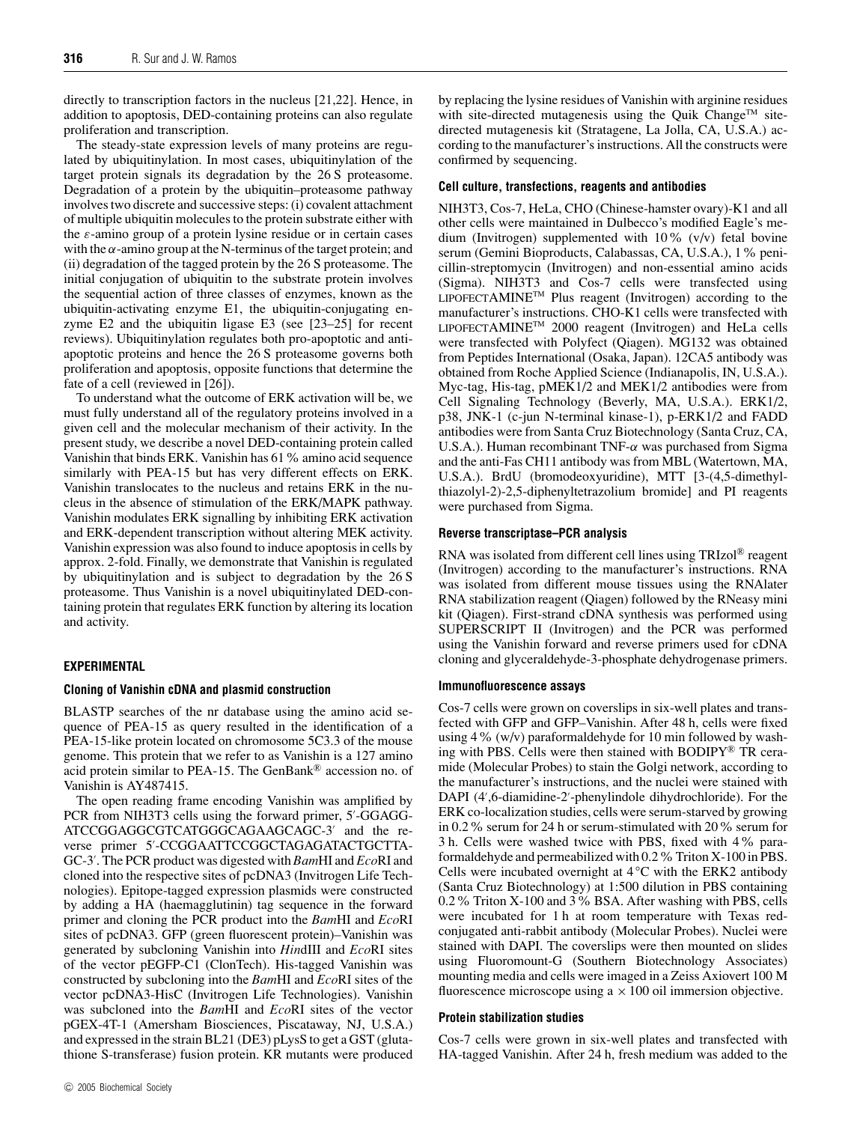directly to transcription factors in the nucleus [21,22]. Hence, in addition to apoptosis, DED-containing proteins can also regulate proliferation and transcription.

The steady-state expression levels of many proteins are regulated by ubiquitinylation. In most cases, ubiquitinylation of the target protein signals its degradation by the 26 S proteasome. Degradation of a protein by the ubiquitin–proteasome pathway involves two discrete and successive steps: (i) covalent attachment of multiple ubiquitin molecules to the protein substrate either with the  $\varepsilon$ -amino group of a protein lysine residue or in certain cases with the  $\alpha$ -amino group at the N-terminus of the target protein; and (ii) degradation of the tagged protein by the 26 S proteasome. The initial conjugation of ubiquitin to the substrate protein involves the sequential action of three classes of enzymes, known as the ubiquitin-activating enzyme E1, the ubiquitin-conjugating enzyme E2 and the ubiquitin ligase E3 (see [23–25] for recent reviews). Ubiquitinylation regulates both pro-apoptotic and antiapoptotic proteins and hence the 26 S proteasome governs both proliferation and apoptosis, opposite functions that determine the fate of a cell (reviewed in [26]).

To understand what the outcome of ERK activation will be, we must fully understand all of the regulatory proteins involved in a given cell and the molecular mechanism of their activity. In the present study, we describe a novel DED-containing protein called Vanishin that binds ERK. Vanishin has 61% amino acid sequence similarly with PEA-15 but has very different effects on ERK. Vanishin translocates to the nucleus and retains ERK in the nucleus in the absence of stimulation of the ERK/MAPK pathway. Vanishin modulates ERK signalling by inhibiting ERK activation and ERK-dependent transcription without altering MEK activity. Vanishin expression was also found to induce apoptosis in cells by approx. 2-fold. Finally, we demonstrate that Vanishin is regulated by ubiquitinylation and is subject to degradation by the 26 S proteasome. Thus Vanishin is a novel ubiquitinylated DED-containing protein that regulates ERK function by altering its location and activity.

## **EXPERIMENTAL**

## **Cloning of Vanishin cDNA and plasmid construction**

BLASTP searches of the nr database using the amino acid sequence of PEA-15 as query resulted in the identification of a PEA-15-like protein located on chromosome 5C3.3 of the mouse genome. This protein that we refer to as Vanishin is a 127 amino acid protein similar to PEA-15. The GenBank® accession no. of Vanishin is AY487415.

The open reading frame encoding Vanishin was amplified by PCR from NIH3T3 cells using the forward primer, 5'-GGAGG-ATCCGGAGGCGTCATGGGCAGAAGCAGC-3′ and the reverse primer 5′ -CCGGAATTCCGGCTAGAGATACTGCTTA-GC-3′ . The PCR product was digested with *Bam*HI and *Eco*RI and cloned into the respective sites of pcDNA3 (Invitrogen Life Technologies). Epitope-tagged expression plasmids were constructed by adding a HA (haemagglutinin) tag sequence in the forward primer and cloning the PCR product into the *Bam*HI and *Eco*RI sites of pcDNA3. GFP (green fluorescent protein)–Vanishin was generated by subcloning Vanishin into *Hin*dIII and *Eco*RI sites of the vector pEGFP-C1 (ClonTech). His-tagged Vanishin was constructed by subcloning into the *Bam*HI and *Eco*RI sites of the vector pcDNA3-HisC (Invitrogen Life Technologies). Vanishin was subcloned into the *Bam*HI and *Eco*RI sites of the vector pGEX-4T-1 (Amersham Biosciences, Piscataway, NJ, U.S.A.) and expressed in the strain BL21 (DE3) pLysS to get a GST (glutathione S-transferase) fusion protein. KR mutants were produced

by replacing the lysine residues of Vanishin with arginine residues with site-directed mutagenesis using the Quik Change<sup>TM</sup> sitedirected mutagenesis kit (Stratagene, La Jolla, CA, U.S.A.) according to the manufacturer's instructions. All the constructs were confirmed by sequencing.

#### **Cell culture, transfections, reagents and antibodies**

NIH3T3, Cos-7, HeLa, CHO (Chinese-hamster ovary)-K1 and all other cells were maintained in Dulbecco's modified Eagle's medium (Invitrogen) supplemented with 10% (v/v) fetal bovine serum (Gemini Bioproducts, Calabassas, CA, U.S.A.), 1% penicillin-streptomycin (Invitrogen) and non-essential amino acids (Sigma). NIH3T3 and Cos-7 cells were transfected using LIPOFECTAMINE<sup>TM</sup> Plus reagent (Invitrogen) according to the manufacturer's instructions. CHO-K1 cells were transfected with LIPOFECTAMINETM 2000 reagent (Invitrogen) and HeLa cells were transfected with Polyfect (Qiagen). MG132 was obtained from Peptides International (Osaka, Japan). 12CA5 antibody was obtained from Roche Applied Science (Indianapolis, IN, U.S.A.). Myc-tag, His-tag, pMEK1/2 and MEK1/2 antibodies were from Cell Signaling Technology (Beverly, MA, U.S.A.). ERK1/2, p38, JNK-1 (c-jun N-terminal kinase-1), p-ERK1/2 and FADD antibodies were from Santa Cruz Biotechnology (Santa Cruz, CA, U.S.A.). Human recombinant TNF-α was purchased from Sigma and the anti-Fas CH11 antibody was from MBL (Watertown, MA, U.S.A.). BrdU (bromodeoxyuridine), MTT [3-(4,5-dimethylthiazolyl-2)-2,5-diphenyltetrazolium bromide] and PI reagents were purchased from Sigma.

## **Reverse transcriptase–PCR analysis**

RNA was isolated from different cell lines using TRIzol® reagent (Invitrogen) according to the manufacturer's instructions. RNA was isolated from different mouse tissues using the RNAlater RNA stabilization reagent (Qiagen) followed by the RNeasy mini kit (Qiagen). First-strand cDNA synthesis was performed using SUPERSCRIPT II (Invitrogen) and the PCR was performed using the Vanishin forward and reverse primers used for cDNA cloning and glyceraldehyde-3-phosphate dehydrogenase primers.

#### **Immunofluorescence assays**

Cos-7 cells were grown on coverslips in six-well plates and transfected with GFP and GFP–Vanishin. After 48 h, cells were fixed using 4% (w/v) paraformaldehyde for 10 min followed by washing with PBS. Cells were then stained with BODIPY® TR ceramide (Molecular Probes) to stain the Golgi network, according to the manufacturer's instructions, and the nuclei were stained with DAPI (4′ ,6-diamidine-2′ -phenylindole dihydrochloride). For the ERK co-localization studies, cells were serum-starved by growing in 0.2% serum for 24 h or serum-stimulated with 20% serum for 3 h. Cells were washed twice with PBS, fixed with 4% paraformaldehyde and permeabilized with 0.2%Triton X-100 in PBS. Cells were incubated overnight at  $4^{\circ}$ C with the ERK2 antibody (Santa Cruz Biotechnology) at 1:500 dilution in PBS containing 0.2% Triton X-100 and 3% BSA. After washing with PBS, cells were incubated for 1 h at room temperature with Texas redconjugated anti-rabbit antibody (Molecular Probes). Nuclei were stained with DAPI. The coverslips were then mounted on slides using Fluoromount-G (Southern Biotechnology Associates) mounting media and cells were imaged in a Zeiss Axiovert 100 M fluorescence microscope using  $a \times 100$  oil immersion objective.

#### **Protein stabilization studies**

Cos-7 cells were grown in six-well plates and transfected with HA-tagged Vanishin. After 24 h, fresh medium was added to the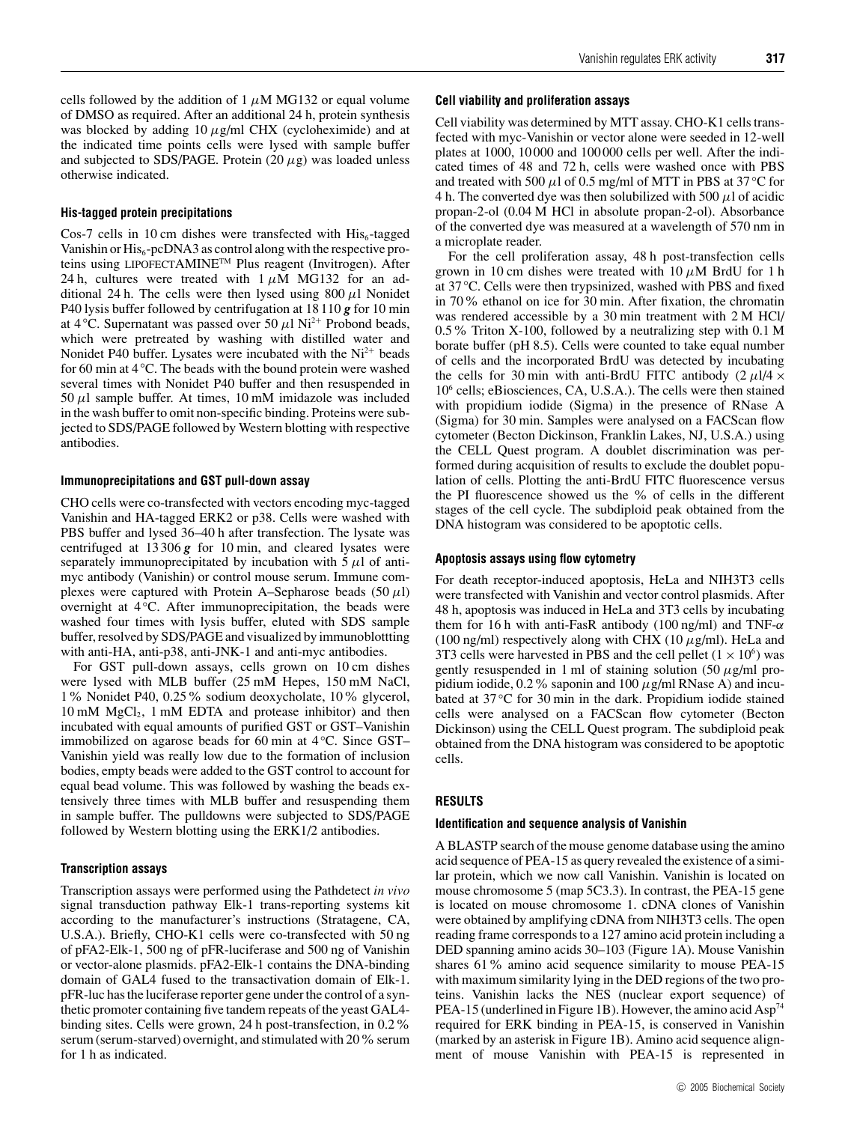cells followed by the addition of 1  $\mu$ M MG132 or equal volume of DMSO as required. After an additional 24 h, protein synthesis was blocked by adding  $10 \mu g/ml$  CHX (cycloheximide) and at the indicated time points cells were lysed with sample buffer and subjected to SDS/PAGE. Protein  $(20 \mu g)$  was loaded unless otherwise indicated.

#### **His-tagged protein precipitations**

Cos-7 cells in 10 cm dishes were transfected with  $His<sub>6</sub>$ -tagged Vanishin or  $His<sub>6</sub>$ -pcDNA3 as control along with the respective proteins using LIPOFECTAMINETM Plus reagent (Invitrogen). After 24 h, cultures were treated with  $1 \mu M$  MG132 for an additional 24 h. The cells were then lysed using  $800 \mu$ l Nonidet P40 lysis buffer followed by centrifugation at 18110 *g* for 10 min at 4 °C. Supernatant was passed over 50  $\mu$ l Ni<sup>2+</sup> Probond beads, which were pretreated by washing with distilled water and Nonidet P40 buffer. Lysates were incubated with the  $Ni<sup>2+</sup>$  beads for 60 min at 4 ◦C. The beads with the bound protein were washed several times with Nonidet P40 buffer and then resuspended in 50  $\mu$ l sample buffer. At times, 10 mM imidazole was included in the wash buffer to omit non-specific binding. Proteins were subjected to SDS/PAGE followed by Western blotting with respective antibodies.

#### **Immunoprecipitations and GST pull-down assay**

CHO cells were co-transfected with vectors encoding myc-tagged Vanishin and HA-tagged ERK2 or p38. Cells were washed with PBS buffer and lysed 36–40 h after transfection. The lysate was centrifuged at 13306 *g* for 10 min, and cleared lysates were separately immunoprecipitated by incubation with  $5 \mu l$  of antimyc antibody (Vanishin) or control mouse serum. Immune complexes were captured with Protein A–Sepharose beads  $(50 \mu l)$ overnight at 4 ℃. After immunoprecipitation, the beads were washed four times with lysis buffer, eluted with SDS sample buffer, resolved by SDS/PAGE and visualized by immunoblottting with anti-HA, anti-p38, anti-JNK-1 and anti-myc antibodies.

For GST pull-down assays, cells grown on 10 cm dishes were lysed with MLB buffer (25 mM Hepes, 150 mM NaCl, 1% Nonidet P40, 0.25% sodium deoxycholate, 10% glycerol, 10 mM MgCl<sub>2</sub>, 1 mM EDTA and protease inhibitor) and then incubated with equal amounts of purified GST or GST–Vanishin immobilized on agarose beads for 60 min at 4 ◦C. Since GST– Vanishin yield was really low due to the formation of inclusion bodies, empty beads were added to the GST control to account for equal bead volume. This was followed by washing the beads extensively three times with MLB buffer and resuspending them in sample buffer. The pulldowns were subjected to SDS/PAGE followed by Western blotting using the ERK1/2 antibodies.

#### **Transcription assays**

Transcription assays were performed using the Pathdetect *in vivo* signal transduction pathway Elk-1 trans-reporting systems kit according to the manufacturer's instructions (Stratagene, CA, U.S.A.). Briefly, CHO-K1 cells were co-transfected with 50 ng of pFA2-Elk-1, 500 ng of pFR-luciferase and 500 ng of Vanishin or vector-alone plasmids. pFA2-Elk-1 contains the DNA-binding domain of GAL4 fused to the transactivation domain of Elk-1. pFR-luc has the luciferase reporter gene under the control of a synthetic promoter containing five tandem repeats of the yeast GAL4 binding sites. Cells were grown, 24 h post-transfection, in 0.2% serum (serum-starved) overnight, and stimulated with 20% serum for 1 h as indicated.

## **Cell viability and proliferation assays**

Cell viability was determined by MTT assay. CHO-K1 cells transfected with myc-Vanishin or vector alone were seeded in 12-well plates at 1000, 10000 and 100000 cells per well. After the indicated times of 48 and 72 h, cells were washed once with PBS and treated with 500  $\mu$ l of 0.5 mg/ml of MTT in PBS at 37 °C for 4 h. The converted dye was then solubilized with 500  $\mu$ l of acidic propan-2-ol (0.04 M HCl in absolute propan-2-ol). Absorbance of the converted dye was measured at a wavelength of 570 nm in a microplate reader.

For the cell proliferation assay, 48 h post-transfection cells grown in 10 cm dishes were treated with  $10 \mu M$  BrdU for 1 h at 37 ◦C. Cells were then trypsinized, washed with PBS and fixed in 70% ethanol on ice for 30 min. After fixation, the chromatin was rendered accessible by a 30 min treatment with 2 M HCl/ 0.5% Triton X-100, followed by a neutralizing step with 0.1 M borate buffer (pH 8.5). Cells were counted to take equal number of cells and the incorporated BrdU was detected by incubating the cells for 30 min with anti-BrdU FITC antibody  $(2 \mu 1/4 \times$ 10<sup>6</sup> cells; eBiosciences, CA, U.S.A.). The cells were then stained with propidium iodide (Sigma) in the presence of RNase A (Sigma) for 30 min. Samples were analysed on a FACScan flow cytometer (Becton Dickinson, Franklin Lakes, NJ, U.S.A.) using the CELL Quest program. A doublet discrimination was performed during acquisition of results to exclude the doublet population of cells. Plotting the anti-BrdU FITC fluorescence versus the PI fluorescence showed us the % of cells in the different stages of the cell cycle. The subdiploid peak obtained from the DNA histogram was considered to be apoptotic cells.

#### **Apoptosis assays using flow cytometry**

For death receptor-induced apoptosis, HeLa and NIH3T3 cells were transfected with Vanishin and vector control plasmids. After 48 h, apoptosis was induced in HeLa and 3T3 cells by incubating them for 16 h with anti-FasR antibody (100 ng/ml) and TNF- $\alpha$ (100 ng/ml) respectively along with CHX (10  $\mu$ g/ml). HeLa and 3T3 cells were harvested in PBS and the cell pellet  $(1 \times 10^6)$  was gently resuspended in 1 ml of staining solution  $(50 \mu g/ml)$  propidium iodide, 0.2% saponin and 100  $\mu$ g/ml RNase A) and incubated at 37 ℃ for 30 min in the dark. Propidium iodide stained cells were analysed on a FACScan flow cytometer (Becton Dickinson) using the CELL Quest program. The subdiploid peak obtained from the DNA histogram was considered to be apoptotic cells.

#### **RESULTS**

#### **Identification and sequence analysis of Vanishin**

A BLASTP search of the mouse genome database using the amino acid sequence of PEA-15 as query revealed the existence of a similar protein, which we now call Vanishin. Vanishin is located on mouse chromosome 5 (map 5C3.3). In contrast, the PEA-15 gene is located on mouse chromosome 1. cDNA clones of Vanishin were obtained by amplifying cDNA from NIH3T3 cells. The open reading frame corresponds to a 127 amino acid protein including a DED spanning amino acids 30–103 (Figure 1A). Mouse Vanishin shares 61% amino acid sequence similarity to mouse PEA-15 with maximum similarity lying in the DED regions of the two proteins. Vanishin lacks the NES (nuclear export sequence) of PEA-15 (underlined in Figure 1B). However, the amino acid Asp<sup>74</sup> required for ERK binding in PEA-15, is conserved in Vanishin (marked by an asterisk in Figure 1B). Amino acid sequence alignment of mouse Vanishin with PEA-15 is represented in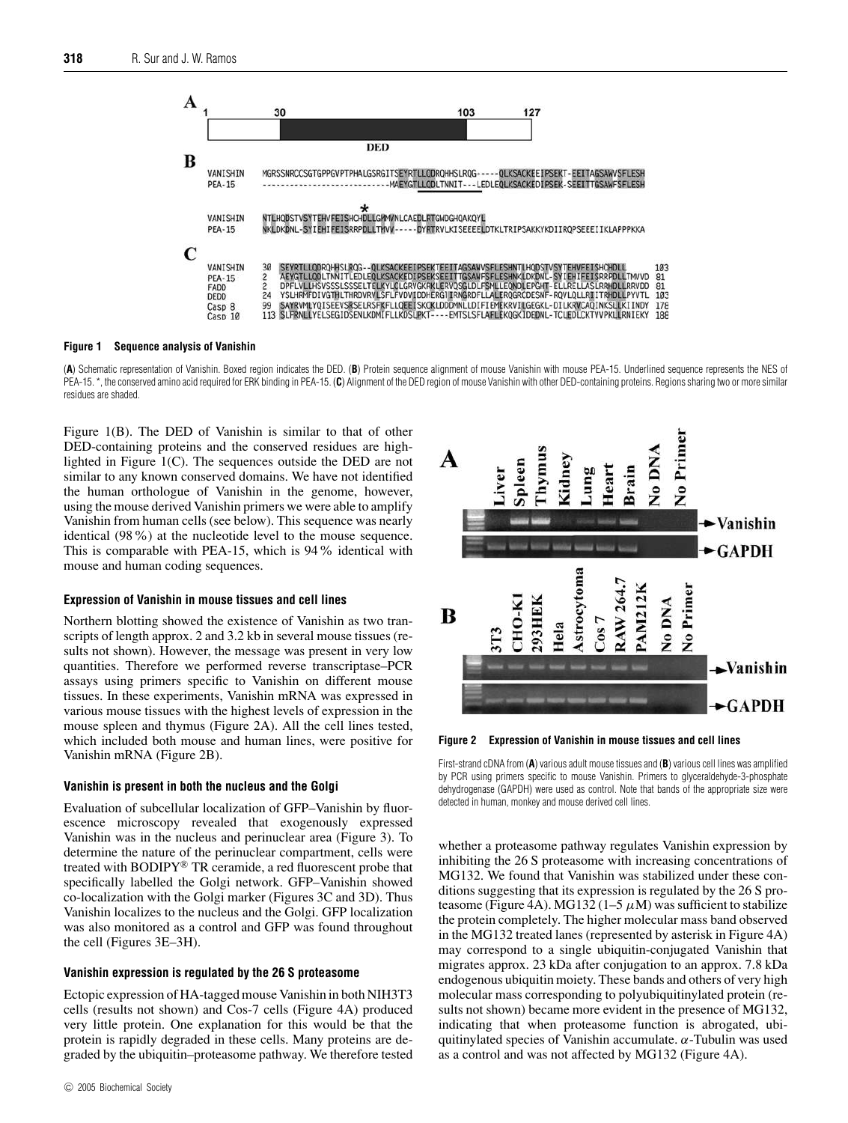

#### **Figure 1 Sequence analysis of Vanishin**

(**A**) Schematic representation of Vanishin. Boxed region indicates the DED. (**B**) Protein sequence alignment of mouse Vanishin with mouse PEA-15. Underlined sequence represents the NES of PEA-15. \*, the conserved amino acid required for ERK binding in PEA-15. (C) Alignment of the DED region of mouse Vanishin with other DED-containing proteins. Regions sharing two or more similar residues are shaded.

Figure 1(B). The DED of Vanishin is similar to that of other DED-containing proteins and the conserved residues are highlighted in Figure 1(C). The sequences outside the DED are not similar to any known conserved domains. We have not identified the human orthologue of Vanishin in the genome, however, using the mouse derived Vanishin primers we were able to amplify Vanishin from human cells (see below). This sequence was nearly identical (98%) at the nucleotide level to the mouse sequence. This is comparable with PEA-15, which is 94% identical with mouse and human coding sequences.

#### **Expression of Vanishin in mouse tissues and cell lines**

Northern blotting showed the existence of Vanishin as two transcripts of length approx. 2 and 3.2 kb in several mouse tissues (results not shown). However, the message was present in very low quantities. Therefore we performed reverse transcriptase–PCR assays using primers specific to Vanishin on different mouse tissues. In these experiments, Vanishin mRNA was expressed in various mouse tissues with the highest levels of expression in the mouse spleen and thymus (Figure 2A). All the cell lines tested, which included both mouse and human lines, were positive for Vanishin mRNA (Figure 2B).

#### **Vanishin is present in both the nucleus and the Golgi**

Evaluation of subcellular localization of GFP–Vanishin by fluorescence microscopy revealed that exogenously expressed Vanishin was in the nucleus and perinuclear area (Figure 3). To determine the nature of the perinuclear compartment, cells were treated with BODIPY® TR ceramide, a red fluorescent probe that specifically labelled the Golgi network. GFP–Vanishin showed co-localization with the Golgi marker (Figures 3C and 3D). Thus Vanishin localizes to the nucleus and the Golgi. GFP localization was also monitored as a control and GFP was found throughout the cell (Figures 3E–3H).

#### **Vanishin expression is regulated by the 26 S proteasome**

Ectopic expression of HA-tagged mouse Vanishin in both NIH3T3 cells (results not shown) and Cos-7 cells (Figure 4A) produced very little protein. One explanation for this would be that the protein is rapidly degraded in these cells. Many proteins are degraded by the ubiquitin–proteasome pathway. We therefore tested



**Figure 2 Expression of Vanishin in mouse tissues and cell lines**

First-strand cDNA from (**A**) various adult mouse tissues and (**B**) various cell lines was amplified by PCR using primers specific to mouse Vanishin. Primers to glyceraldehyde-3-phosphate dehydrogenase (GAPDH) were used as control. Note that bands of the appropriate size were detected in human, monkey and mouse derived cell lines.

whether a proteasome pathway regulates Vanishin expression by inhibiting the 26 S proteasome with increasing concentrations of MG132. We found that Vanishin was stabilized under these conditions suggesting that its expression is regulated by the 26 S proteasome (Figure 4A). MG132 (1–5  $\mu$ M) was sufficient to stabilize the protein completely. The higher molecular mass band observed in the MG132 treated lanes (represented by asterisk in Figure 4A) may correspond to a single ubiquitin-conjugated Vanishin that migrates approx. 23 kDa after conjugation to an approx. 7.8 kDa endogenous ubiquitin moiety. These bands and others of very high molecular mass corresponding to polyubiquitinylated protein (results not shown) became more evident in the presence of MG132, indicating that when proteasome function is abrogated, ubiquitinylated species of Vanishin accumulate.  $\alpha$ -Tubulin was used as a control and was not affected by MG132 (Figure 4A).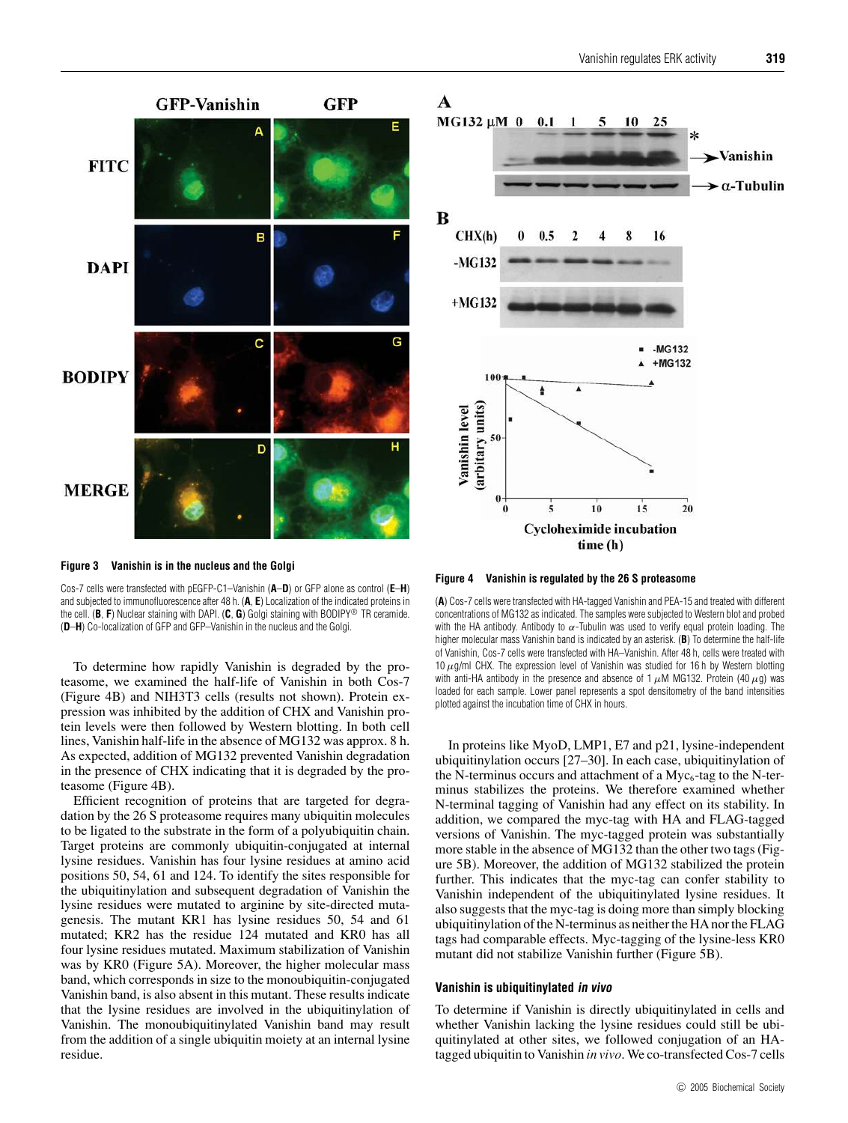

**Figure 3 Vanishin is in the nucleus and the Golgi**

Cos-7 cells were transfected with pEGFP-C1–Vanishin (**A**–**D**) or GFP alone as control (**E**–**H**) and subjected to immunofluorescence after 48 h. (**A**, **E**) Localization of the indicated proteins in the cell. (**B**, **F**) Nuclear staining with DAPI. (**C**, **G**) Golgi staining with BODIPY® TR ceramide. (**D**–**H**) Co-localization of GFP and GFP–Vanishin in the nucleus and the Golgi.

To determine how rapidly Vanishin is degraded by the proteasome, we examined the half-life of Vanishin in both Cos-7 (Figure 4B) and NIH3T3 cells (results not shown). Protein expression was inhibited by the addition of CHX and Vanishin protein levels were then followed by Western blotting. In both cell lines, Vanishin half-life in the absence of MG132 was approx. 8 h. As expected, addition of MG132 prevented Vanishin degradation in the presence of CHX indicating that it is degraded by the proteasome (Figure 4B).

Efficient recognition of proteins that are targeted for degradation by the 26 S proteasome requires many ubiquitin molecules to be ligated to the substrate in the form of a polyubiquitin chain. Target proteins are commonly ubiquitin-conjugated at internal lysine residues. Vanishin has four lysine residues at amino acid positions 50, 54, 61 and 124. To identify the sites responsible for the ubiquitinylation and subsequent degradation of Vanishin the lysine residues were mutated to arginine by site-directed mutagenesis. The mutant KR1 has lysine residues 50, 54 and 61 mutated; KR2 has the residue 124 mutated and KR0 has all four lysine residues mutated. Maximum stabilization of Vanishin was by KR0 (Figure 5A). Moreover, the higher molecular mass band, which corresponds in size to the monoubiquitin-conjugated Vanishin band, is also absent in this mutant. These results indicate that the lysine residues are involved in the ubiquitinylation of Vanishin. The monoubiquitinylated Vanishin band may result from the addition of a single ubiquitin moiety at an internal lysine residue.

## A



**Figure 4 Vanishin is regulated by the 26 S proteasome**

(**A**) Cos-7 cells were transfected with HA-tagged Vanishin and PEA-15 and treated with different concentrations of MG132 as indicated. The samples were subjected to Western blot and probed with the HA antibody. Antibody to  $\alpha$ -Tubulin was used to verify equal protein loading. The higher molecular mass Vanishin band is indicated by an asterisk. (**B**) To determine the half-life of Vanishin, Cos-7 cells were transfected with HA–Vanishin. After 48 h, cells were treated with 10  $\mu$ g/ml CHX. The expression level of Vanishin was studied for 16 h by Western blotting with anti-HA antibody in the presence and absence of 1  $\mu$ M MG132. Protein (40  $\mu$ g) was loaded for each sample. Lower panel represents a spot densitometry of the band intensities plotted against the incubation time of CHX in hours.

In proteins like MyoD, LMP1, E7 and p21, lysine-independent ubiquitinylation occurs [27–30]. In each case, ubiquitinylation of the N-terminus occurs and attachment of a  $Myc<sub>6</sub>$ -tag to the N-terminus stabilizes the proteins. We therefore examined whether N-terminal tagging of Vanishin had any effect on its stability. In addition, we compared the myc-tag with HA and FLAG-tagged versions of Vanishin. The myc-tagged protein was substantially more stable in the absence of MG132 than the other two tags (Figure 5B). Moreover, the addition of MG132 stabilized the protein further. This indicates that the myc-tag can confer stability to Vanishin independent of the ubiquitinylated lysine residues. It also suggests that the myc-tag is doing more than simply blocking ubiquitinylation of the N-terminus as neither the HA nor the FLAG tags had comparable effects. Myc-tagging of the lysine-less KR0 mutant did not stabilize Vanishin further (Figure 5B).

## **Vanishin is ubiquitinylated in vivo**

To determine if Vanishin is directly ubiquitinylated in cells and whether Vanishin lacking the lysine residues could still be ubiquitinylated at other sites, we followed conjugation of an HAtagged ubiquitin to Vanishin *in vivo*. We co-transfected Cos-7 cells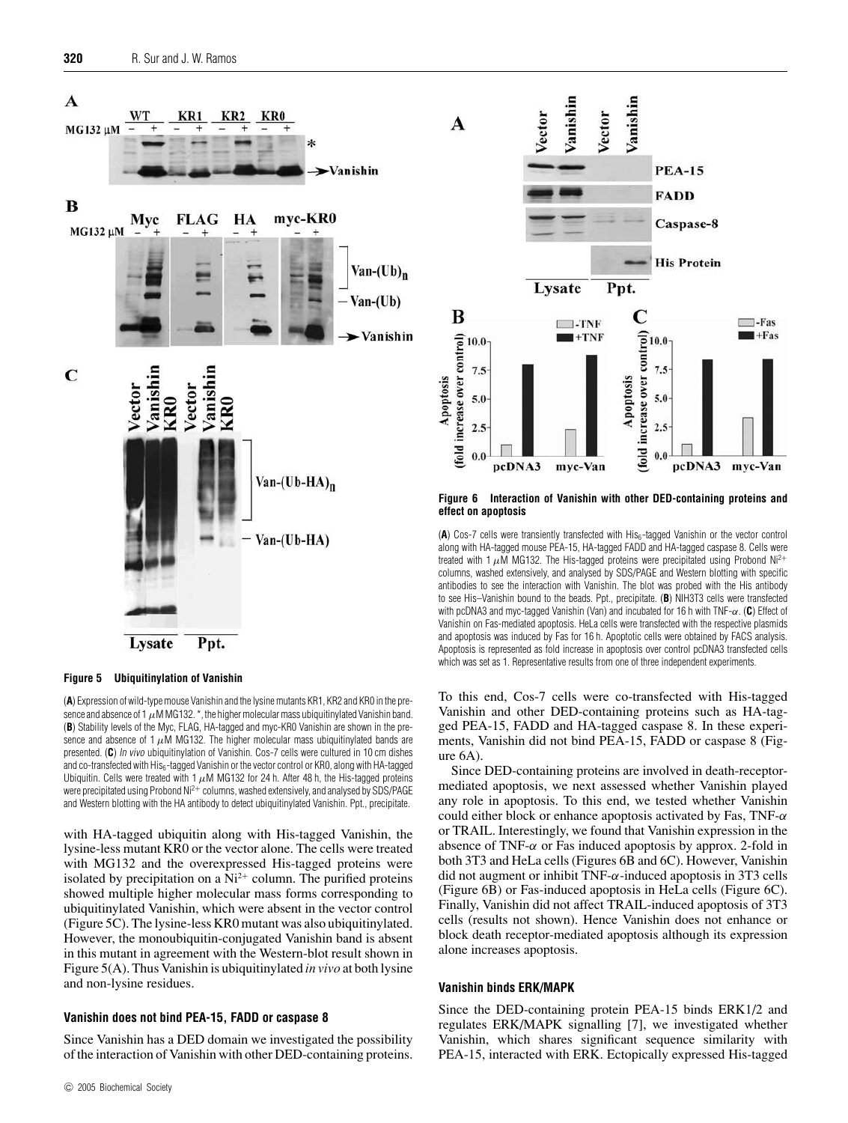

#### **Figure 5 Ubiquitinylation of Vanishin**

(**A**) Expression of wild-type mouse Vanishin and the lysine mutants KR1, KR2 and KR0 in the presence and absence of 1  $\mu$ M MG132.  $^*$ , the higher molecular mass ubiquitinylated Vanishin band. (**B**) Stability levels of the Myc, FLAG, HA-tagged and myc-KR0 Vanishin are shown in the presence and absence of 1  $\mu$ M MG132. The higher molecular mass ubiquitinylated bands are presented. (**C**) In vivo ubiquitinylation of Vanishin. Cos-7 cells were cultured in 10 cm dishes and co-transfected with His<sub>6</sub>-tagged Vanishin or the vector control or KR0, along with HA-tagged Ubiquitin. Cells were treated with 1  $\mu$ M MG132 for 24 h. After 48 h, the His-tagged proteins were precipitated using Probond Ni<sup>2</sup><sup>+</sup> columns, washed extensively, and analysed by SDS/PAGE and Western blotting with the HA antibody to detect ubiquitinylated Vanishin. Ppt., precipitate.

with HA-tagged ubiquitin along with His-tagged Vanishin, the lysine-less mutant KR0 or the vector alone. The cells were treated with MG132 and the overexpressed His-tagged proteins were isolated by precipitation on a  $Ni<sup>2+</sup>$  column. The purified proteins showed multiple higher molecular mass forms corresponding to ubiquitinylated Vanishin, which were absent in the vector control (Figure 5C). The lysine-less KR0 mutant was also ubiquitinylated. However, the monoubiquitin-conjugated Vanishin band is absent in this mutant in agreement with the Western-blot result shown in Figure 5(A). Thus Vanishin is ubiquitinylated *in vivo* at both lysine and non-lysine residues.

## **Vanishin does not bind PEA-15, FADD or caspase 8**

Since Vanishin has a DED domain we investigated the possibility of the interaction of Vanishin with other DED-containing proteins.



**Figure 6 Interaction of Vanishin with other DED-containing proteins and effect on apoptosis**

(A) Cos-7 cells were transiently transfected with His<sub>6</sub>-tagged Vanishin or the vector control along with HA-tagged mouse PEA-15, HA-tagged FADD and HA-tagged caspase 8. Cells were treated with 1  $\mu$ M MG132. The His-tagged proteins were precipitated using Probond Ni<sup>2+</sup> columns, washed extensively, and analysed by SDS/PAGE and Western blotting with specific antibodies to see the interaction with Vanishin. The blot was probed with the His antibody to see His–Vanishin bound to the beads. Ppt., precipitate. (**B**) NIH3T3 cells were transfected with pcDNA3 and myc-tagged Vanishin (Van) and incubated for 16 h with TNF-α. (**C**) Effect of Vanishin on Fas-mediated apoptosis. HeLa cells were transfected with the respective plasmids and apoptosis was induced by Fas for 16 h. Apoptotic cells were obtained by FACS analysis. Apoptosis is represented as fold increase in apoptosis over control pcDNA3 transfected cells which was set as 1. Representative results from one of three independent experiments.

To this end, Cos-7 cells were co-transfected with His-tagged Vanishin and other DED-containing proteins such as HA-tagged PEA-15, FADD and HA-tagged caspase 8. In these experiments, Vanishin did not bind PEA-15, FADD or caspase 8 (Figure 6A).

Since DED-containing proteins are involved in death-receptormediated apoptosis, we next assessed whether Vanishin played any role in apoptosis. To this end, we tested whether Vanishin could either block or enhance apoptosis activated by Fas,  $TNF-\alpha$ or TRAIL. Interestingly, we found that Vanishin expression in the absence of TNF- $\alpha$  or Fas induced apoptosis by approx. 2-fold in both 3T3 and HeLa cells (Figures 6B and 6C). However, Vanishin did not augment or inhibit TNF- $\alpha$ -induced apoptosis in 3T3 cells (Figure 6B) or Fas-induced apoptosis in HeLa cells (Figure 6C). Finally, Vanishin did not affect TRAIL-induced apoptosis of 3T3 cells (results not shown). Hence Vanishin does not enhance or block death receptor-mediated apoptosis although its expression alone increases apoptosis.

## **Vanishin binds ERK/MAPK**

Since the DED-containing protein PEA-15 binds ERK1/2 and regulates ERK/MAPK signalling [7], we investigated whether Vanishin, which shares significant sequence similarity with PEA-15, interacted with ERK. Ectopically expressed His-tagged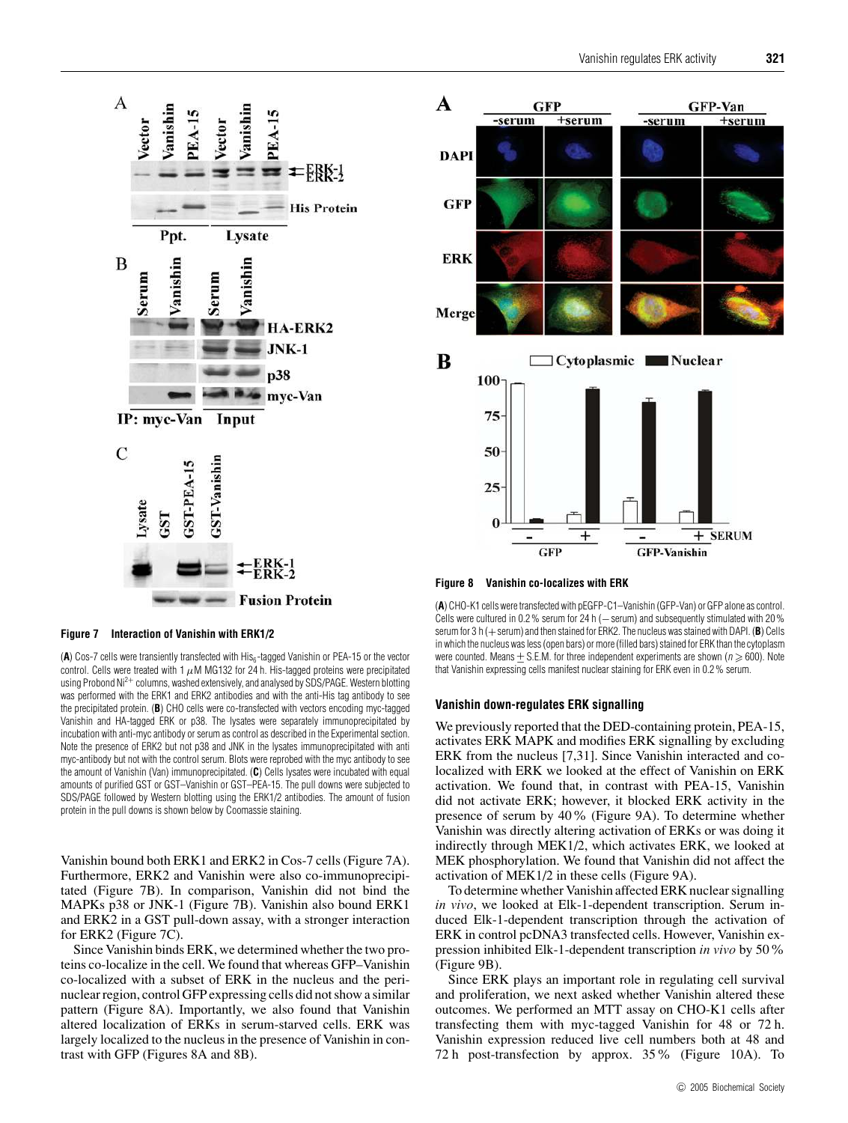

**Figure 7 Interaction of Vanishin with ERK1/2**

(A) Cos-7 cells were transiently transfected with His<sub>6</sub>-tagged Vanishin or PEA-15 or the vector control. Cells were treated with 1  $\mu$ M MG132 for 24 h. His-tagged proteins were precipitated using Probond Ni<sup>2+</sup> columns, washed extensively, and analysed by SDS/PAGE. Western blotting was performed with the ERK1 and ERK2 antibodies and with the anti-His tag antibody to see the precipitated protein. (**B**) CHO cells were co-transfected with vectors encoding myc-tagged Vanishin and HA-tagged ERK or p38. The lysates were separately immunoprecipitated by incubation with anti-myc antibody or serum as control as described in the Experimental section. Note the presence of ERK2 but not p38 and JNK in the lysates immunoprecipitated with anti myc-antibody but not with the control serum. Blots were reprobed with the myc antibody to see the amount of Vanishin (Van) immunoprecipitated. (**C**) Cells lysates were incubated with equal amounts of purified GST or GST–Vanishin or GST–PEA-15. The pull downs were subjected to SDS/PAGE followed by Western blotting using the ERK1/2 antibodies. The amount of fusion protein in the pull downs is shown below by Coomassie staining.

Vanishin bound both ERK1 and ERK2 in Cos-7 cells (Figure 7A). Furthermore, ERK2 and Vanishin were also co-immunoprecipitated (Figure 7B). In comparison, Vanishin did not bind the MAPKs p38 or JNK-1 (Figure 7B). Vanishin also bound ERK1 and ERK2 in a GST pull-down assay, with a stronger interaction for ERK2 (Figure 7C).

Since Vanishin binds ERK, we determined whether the two proteins co-localize in the cell. We found that whereas GFP–Vanishin co-localized with a subset of ERK in the nucleus and the perinuclear region, control GFP expressing cells did not show a similar pattern (Figure 8A). Importantly, we also found that Vanishin altered localization of ERKs in serum-starved cells. ERK was largely localized to the nucleus in the presence of Vanishin in contrast with GFP (Figures 8A and 8B).



**Figure 8 Vanishin co-localizes with ERK**

(**A**) CHO-K1 cells were transfected with pEGFP-C1–Vanishin (GFP-Van) or GFP alone as control. Cells were cultured in 0.2% serum for 24 h (-serum) and subsequently stimulated with 20% serum for 3 h (+ serum) and then stained for ERK2. The nucleus was stained with DAPI. (**B**) Cells in which the nucleus was less (open bars) or more (filled bars) stained for ERK than the cytoplasm were counted. Means  $\pm$  S.E.M. for three independent experiments are shown ( $n \ge 600$ ). Note that Vanishin expressing cells manifest nuclear staining for ERK even in 0.2% serum.

#### **Vanishin down-regulates ERK signalling**

We previously reported that the DED-containing protein, PEA-15, activates ERK MAPK and modifies ERK signalling by excluding ERK from the nucleus [7,31]. Since Vanishin interacted and colocalized with ERK we looked at the effect of Vanishin on ERK activation. We found that, in contrast with PEA-15, Vanishin did not activate ERK; however, it blocked ERK activity in the presence of serum by 40% (Figure 9A). To determine whether Vanishin was directly altering activation of ERKs or was doing it indirectly through MEK1/2, which activates ERK, we looked at MEK phosphorylation. We found that Vanishin did not affect the activation of MEK1/2 in these cells (Figure 9A).

To determine whether Vanishin affected ERK nuclear signalling *in vivo*, we looked at Elk-1-dependent transcription. Serum induced Elk-1-dependent transcription through the activation of ERK in control pcDNA3 transfected cells. However, Vanishin expression inhibited Elk-1-dependent transcription *in vivo* by 50% (Figure 9B).

Since ERK plays an important role in regulating cell survival and proliferation, we next asked whether Vanishin altered these outcomes. We performed an MTT assay on CHO-K1 cells after transfecting them with myc-tagged Vanishin for 48 or 72 h. Vanishin expression reduced live cell numbers both at 48 and 72 h post-transfection by approx. 35% (Figure 10A). To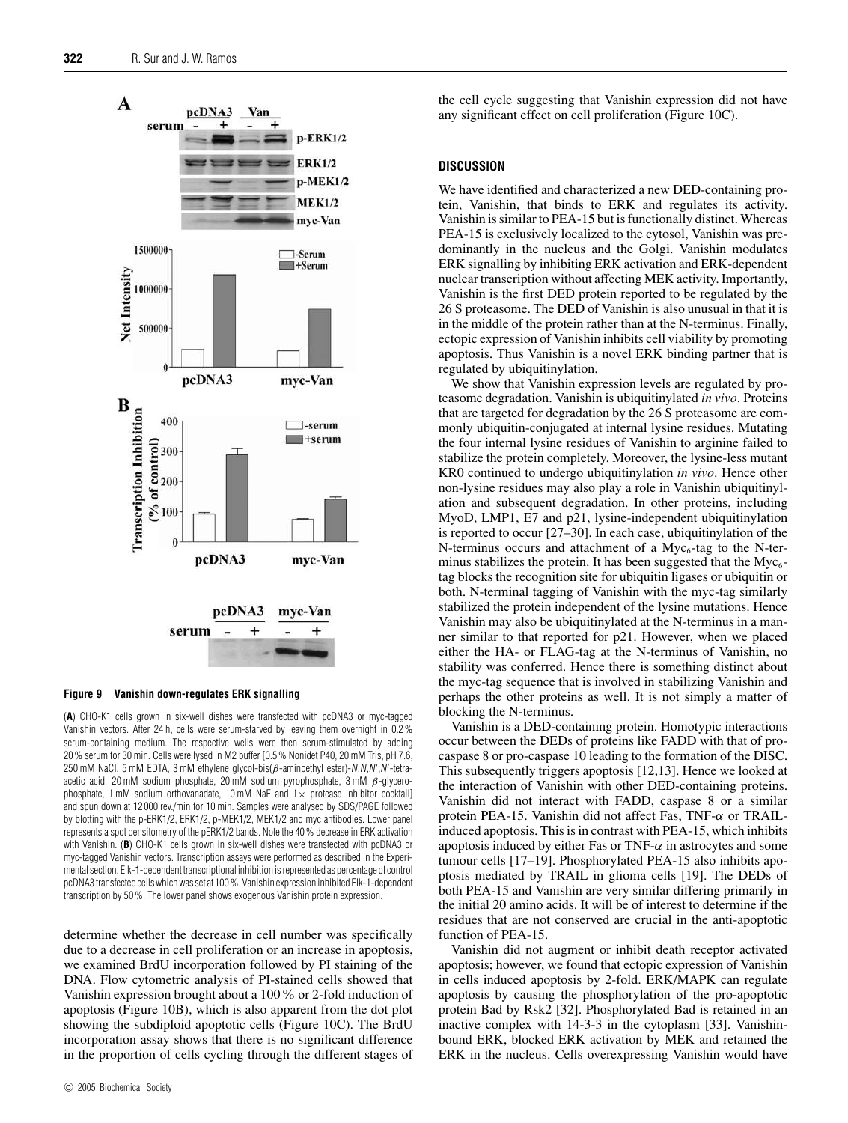

**Figure 9 Vanishin down-regulates ERK signalling**

(**A**) CHO-K1 cells grown in six-well dishes were transfected with pcDNA3 or myc-tagged Vanishin vectors. After 24 h, cells were serum-starved by leaving them overnight in 0.2% serum-containing medium. The respective wells were then serum-stimulated by adding 20% serum for 30 min. Cells were lysed in M2 buffer [0.5% Nonidet P40, 20 mM Tris, pH 7.6, 250 mM NaCl, 5 mM EDTA, 3 mM ethylene glycol-bis( $\beta$ -aminoethyl ester)-N,N,N',N'-tetraacetic acid, 20 mM sodium phosphate, 20 mM sodium pyrophosphate,  $3 \text{ mM } \beta$ -glycerophosphate, 1 mM sodium orthovanadate, 10 mM NaF and  $1\times$  protease inhibitor cocktail] and spun down at 12 000 rev./min for 10 min. Samples were analysed by SDS/PAGE followed by blotting with the p-ERK1/2, ERK1/2, p-MEK1/2, MEK1/2 and myc antibodies. Lower panel represents a spot densitometry of the pERK1/2 bands. Note the 40% decrease in ERK activation with Vanishin. (**B**) CHO-K1 cells grown in six-well dishes were transfected with pcDNA3 or myc-tagged Vanishin vectors. Transcription assays were performed as described in the Experimental section. Elk-1-dependent transcriptional inhibition isrepresented as percentage of control pcDNA3 transfected cells which was set at 100%. Vanishin expression inhibited Elk-1-dependent transcription by 50%. The lower panel shows exogenous Vanishin protein expression.

determine whether the decrease in cell number was specifically due to a decrease in cell proliferation or an increase in apoptosis, we examined BrdU incorporation followed by PI staining of the DNA. Flow cytometric analysis of PI-stained cells showed that Vanishin expression brought about a 100% or 2-fold induction of apoptosis (Figure 10B), which is also apparent from the dot plot showing the subdiploid apoptotic cells (Figure 10C). The BrdU incorporation assay shows that there is no significant difference in the proportion of cells cycling through the different stages of the cell cycle suggesting that Vanishin expression did not have any significant effect on cell proliferation (Figure 10C).

#### **DISCUSSION**

We have identified and characterized a new DED-containing protein, Vanishin, that binds to ERK and regulates its activity. Vanishin is similar to PEA-15 but is functionally distinct. Whereas PEA-15 is exclusively localized to the cytosol, Vanishin was predominantly in the nucleus and the Golgi. Vanishin modulates ERK signalling by inhibiting ERK activation and ERK-dependent nuclear transcription without affecting MEK activity. Importantly, Vanishin is the first DED protein reported to be regulated by the 26 S proteasome. The DED of Vanishin is also unusual in that it is in the middle of the protein rather than at the N-terminus. Finally, ectopic expression of Vanishin inhibits cell viability by promoting apoptosis. Thus Vanishin is a novel ERK binding partner that is regulated by ubiquitinylation.

We show that Vanishin expression levels are regulated by proteasome degradation. Vanishin is ubiquitinylated *in vivo*. Proteins that are targeted for degradation by the 26 S proteasome are commonly ubiquitin-conjugated at internal lysine residues. Mutating the four internal lysine residues of Vanishin to arginine failed to stabilize the protein completely. Moreover, the lysine-less mutant KR0 continued to undergo ubiquitinylation *in vivo*. Hence other non-lysine residues may also play a role in Vanishin ubiquitinylation and subsequent degradation. In other proteins, including MyoD, LMP1, E7 and p21, lysine-independent ubiquitinylation is reported to occur [27–30]. In each case, ubiquitinylation of the N-terminus occurs and attachment of a  $Myc<sub>6</sub>$ -tag to the N-terminus stabilizes the protein. It has been suggested that the  $Myc<sub>6</sub>$ tag blocks the recognition site for ubiquitin ligases or ubiquitin or both. N-terminal tagging of Vanishin with the myc-tag similarly stabilized the protein independent of the lysine mutations. Hence Vanishin may also be ubiquitinylated at the N-terminus in a manner similar to that reported for p21. However, when we placed either the HA- or FLAG-tag at the N-terminus of Vanishin, no stability was conferred. Hence there is something distinct about the myc-tag sequence that is involved in stabilizing Vanishin and perhaps the other proteins as well. It is not simply a matter of blocking the N-terminus.

Vanishin is a DED-containing protein. Homotypic interactions occur between the DEDs of proteins like FADD with that of procaspase 8 or pro-caspase 10 leading to the formation of the DISC. This subsequently triggers apoptosis [12,13]. Hence we looked at the interaction of Vanishin with other DED-containing proteins. Vanishin did not interact with FADD, caspase 8 or a similar protein PEA-15. Vanishin did not affect Fas, TNF-α or TRAILinduced apoptosis. This is in contrast with PEA-15, which inhibits apoptosis induced by either Fas or TNF- $\alpha$  in astrocytes and some tumour cells [17–19]. Phosphorylated PEA-15 also inhibits apoptosis mediated by TRAIL in glioma cells [19]. The DEDs of both PEA-15 and Vanishin are very similar differing primarily in the initial 20 amino acids. It will be of interest to determine if the residues that are not conserved are crucial in the anti-apoptotic function of PEA-15.

Vanishin did not augment or inhibit death receptor activated apoptosis; however, we found that ectopic expression of Vanishin in cells induced apoptosis by 2-fold. ERK/MAPK can regulate apoptosis by causing the phosphorylation of the pro-apoptotic protein Bad by Rsk2 [32]. Phosphorylated Bad is retained in an inactive complex with 14-3-3 in the cytoplasm [33]. Vanishinbound ERK, blocked ERK activation by MEK and retained the ERK in the nucleus. Cells overexpressing Vanishin would have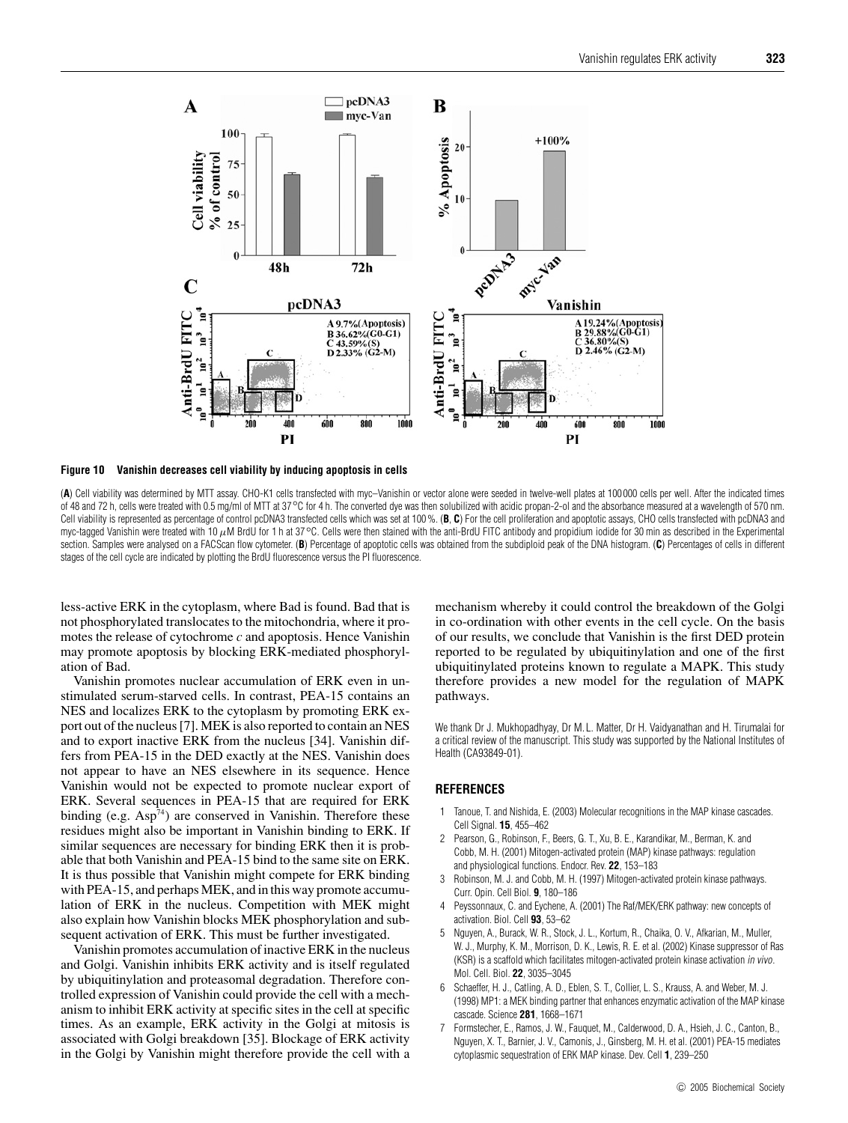

**Figure 10 Vanishin decreases cell viability by inducing apoptosis in cells**

(**A**) Cell viability was determined by MTT assay. CHO-K1 cells transfected with myc–Vanishin or vector alone were seeded in twelve-well plates at 100 000 cells per well. After the indicated times of 48 and 72 h, cells were treated with 0.5 mg/ml of MTT at 37◦C for 4 h. The converted dye was then solubilized with acidic propan-2-ol and the absorbance measured at a wavelength of 570 nm. Cell viability is represented as percentage of control pcDNA3 transfected cells which was set at 100%. (B, C) For the cell proliferation and apoptotic assays, CHO cells transfected with pcDNA3 and myc-tagged Vanishin were treated with 10 µM BrdU for 1 h at 37 °C. Cells were then stained with the anti-BrdU FITC antibody and propidium iodide for 30 min as described in the Experimental section. Samples were analysed on a FACScan flow cytometer. (B) Percentage of apoptotic cells was obtained from the subdiploid peak of the DNA histogram. (C) Percentages of cells in different stages of the cell cycle are indicated by plotting the BrdU fluorescence versus the PI fluorescence.

less-active ERK in the cytoplasm, where Bad is found. Bad that is not phosphorylated translocates to the mitochondria, where it promotes the release of cytochrome *c* and apoptosis. Hence Vanishin may promote apoptosis by blocking ERK-mediated phosphorylation of Bad.

Vanishin promotes nuclear accumulation of ERK even in unstimulated serum-starved cells. In contrast, PEA-15 contains an NES and localizes ERK to the cytoplasm by promoting ERK export out of the nucleus [7]. MEK is also reported to contain an NES and to export inactive ERK from the nucleus [34]. Vanishin differs from PEA-15 in the DED exactly at the NES. Vanishin does not appear to have an NES elsewhere in its sequence. Hence Vanishin would not be expected to promote nuclear export of ERK. Several sequences in PEA-15 that are required for ERK binding (e.g.  $Asp^{74}$ ) are conserved in Vanishin. Therefore these residues might also be important in Vanishin binding to ERK. If similar sequences are necessary for binding ERK then it is probable that both Vanishin and PEA-15 bind to the same site on ERK. It is thus possible that Vanishin might compete for ERK binding with PEA-15, and perhaps MEK, and in this way promote accumulation of ERK in the nucleus. Competition with MEK might also explain how Vanishin blocks MEK phosphorylation and subsequent activation of ERK. This must be further investigated.

Vanishin promotes accumulation of inactive ERK in the nucleus and Golgi. Vanishin inhibits ERK activity and is itself regulated by ubiquitinylation and proteasomal degradation. Therefore controlled expression of Vanishin could provide the cell with a mechanism to inhibit ERK activity at specific sites in the cell at specific times. As an example, ERK activity in the Golgi at mitosis is associated with Golgi breakdown [35]. Blockage of ERK activity in the Golgi by Vanishin might therefore provide the cell with a mechanism whereby it could control the breakdown of the Golgi in co-ordination with other events in the cell cycle. On the basis of our results, we conclude that Vanishin is the first DED protein reported to be regulated by ubiquitinylation and one of the first ubiquitinylated proteins known to regulate a MAPK. This study therefore provides a new model for the regulation of MAPK pathways.

We thank Dr J. Mukhopadhyay, Dr M. L. Matter, Dr H. Vaidyanathan and H. Tirumalai for a critical review of the manuscript. This study was supported by the National Institutes of Health (CA93849-01).

## **REFERENCES**

- 1 Tanoue, T. and Nishida, E. (2003) Molecular recognitions in the MAP kinase cascades. Cell Signal. **15**, 455–462
- 2 Pearson, G., Robinson, F., Beers, G. T., Xu, B. E., Karandikar, M., Berman, K. and Cobb, M. H. (2001) Mitogen-activated protein (MAP) kinase pathways: regulation and physiological functions. Endocr. Rev. **22**, 153–183
- 3 Robinson, M. J. and Cobb, M. H. (1997) Mitogen-activated protein kinase pathways. Curr. Opin. Cell Biol. **9**, 180–186
- 4 Peyssonnaux, C. and Eychene, A. (2001) The Raf/MEK/ERK pathway: new concepts of activation. Biol. Cell **93**, 53–62
- 5 Nguyen, A., Burack, W. R., Stock, J. L., Kortum, R., Chaika, O. V., Afkarian, M., Muller, W. J., Murphy, K. M., Morrison, D. K., Lewis, R. E. et al. (2002) Kinase suppressor of Ras (KSR) is a scaffold which facilitates mitogen-activated protein kinase activation in vivo. Mol. Cell. Biol. **22**, 3035–3045
- 6 Schaeffer, H. J., Catling, A. D., Eblen, S. T., Collier, L. S., Krauss, A. and Weber, M. J. (1998) MP1: a MEK binding partner that enhances enzymatic activation of the MAP kinase cascade. Science **281**, 1668–1671
- 7 Formstecher, E., Ramos, J. W., Fauquet, M., Calderwood, D. A., Hsieh, J. C., Canton, B., Nguyen, X. T., Barnier, J. V., Camonis, J., Ginsberg, M. H. et al. (2001) PEA-15 mediates cytoplasmic sequestration of ERK MAP kinase. Dev. Cell **1**, 239–250